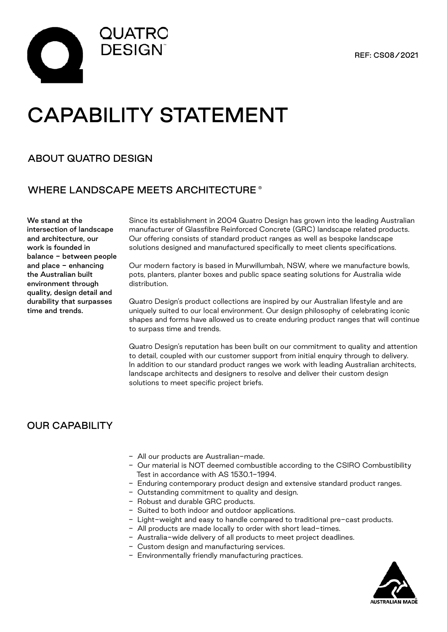



# CAPABILITY STATEMENT

### ABOUT QUATRO DESIGN

### WHERE LANDSCAPE MEETS ARCHITECTURE ®

We stand at the intersection of landscape and architecture, our work is founded in balance - between people and place - enhancing the Australian built environment through quality, design detail and durability that surpasses time and trends.

Since its establishment in 2004 Quatro Design has grown into the leading Australian manufacturer of Glassfibre Reinforced Concrete (GRC) landscape related products. Our offering consists of standard product ranges as well as bespoke landscape solutions designed and manufactured specifically to meet clients specifications.

Our modern factory is based in Murwillumbah, NSW, where we manufacture bowls, pots, planters, planter boxes and public space seating solutions for Australia wide distribution.

Quatro Design's product collections are inspired by our Australian lifestyle and are uniquely suited to our local environment. Our design philosophy of celebrating iconic shapes and forms have allowed us to create enduring product ranges that will continue to surpass time and trends.

Quatro Design's reputation has been built on our commitment to quality and attention to detail, coupled with our customer support from initial enquiry through to delivery. In addition to our standard product ranges we work with leading Australian architects, landscape architects and designers to resolve and deliver their custom design solutions to meet specific project briefs.

# OUR CAPABILITY

- All our products are Australian-made.
- Our material is NOT deemed combustible according to the CSIRO Combustibility Test in accordance with AS 1530.1-1994.
- Enduring contemporary product design and extensive standard product ranges.
- Outstanding commitment to quality and design.
- Robust and durable GRC products.
- Suited to both indoor and outdoor applications.
- Light-weight and easy to handle compared to traditional pre-cast products.
- All products are made locally to order with short lead-times.
- Australia-wide delivery of all products to meet project deadlines.
- Custom design and manufacturing services.
- Environmentally friendly manufacturing practices.

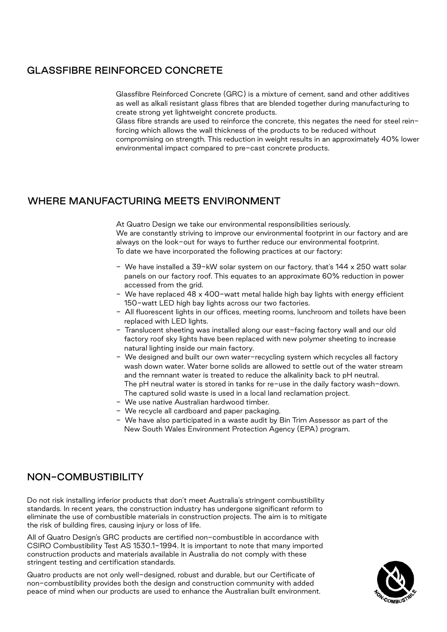### GLASSFIBRE REINFORCED CONCRETE

Glassfibre Reinforced Concrete (GRC) is a mixture of cement, sand and other additives as well as alkali resistant glass fibres that are blended together during manufacturing to create strong yet lightweight concrete products.

Glass fibre strands are used to reinforce the concrete, this negates the need for steel reinforcing which allows the wall thickness of the products to be reduced without

compromising on strength. This reduction in weight results in an approximately 40% lower environmental impact compared to pre-cast concrete products.

#### WHERE MANUFACTURING MEETS ENVIRONMENT

At Quatro Design we take our environmental responsibilities seriously. We are constantly striving to improve our environmental footprint in our factory and are always on the look-out for ways to further reduce our environmental footprint. To date we have incorporated the following practices at our factory:

- We have installed a 39-kW solar system on our factory, that's 144 x 250 watt solar panels on our factory roof. This equates to an approximate 60% reduction in power accessed from the grid.
- We have replaced 48 x 400-watt metal halide high bay lights with energy efficient 150-watt LED high bay lights across our two factories.
- All fluorescent lights in our offices, meeting rooms, lunchroom and toilets have been replaced with LED lights.
- Translucent sheeting was installed along our east-facing factory wall and our old factory roof sky lights have been replaced with new polymer sheeting to increase natural lighting inside our main factory.
- We designed and built our own water-recycling system which recycles all factory wash down water. Water borne solids are allowed to settle out of the water stream and the remnant water is treated to reduce the alkalinity back to pH neutral. The pH neutral water is stored in tanks for re-use in the daily factory wash-down. The captured solid waste is used in a local land reclamation project.
- We use native Australian hardwood timber.
- We recycle all cardboard and paper packaging.
- We have also participated in a waste audit by Bin Trim Assessor as part of the New South Wales Environment Protection Agency (EPA) program.

# NON-COMBUSTIBILITY

Do not risk installing inferior products that don't meet Australia's stringent combustibility standards. In recent years, the construction industry has undergone significant reform to eliminate the use of combustible materials in construction projects. The aim is to mitigate the risk of building fires, causing injury or loss of life.

All of Quatro Design's GRC products are certified non-combustible in accordance with CSIRO Combustibility Test AS 1530.1-1994. It is important to note that many imported construction products and materials available in Australia do not comply with these stringent testing and certification standards.

Quatro products are not only well-designed, robust and durable, but our Certificate of non-combustibility provides both the design and construction community with added peace of mind when our products are used to enhance the Australian built environment.